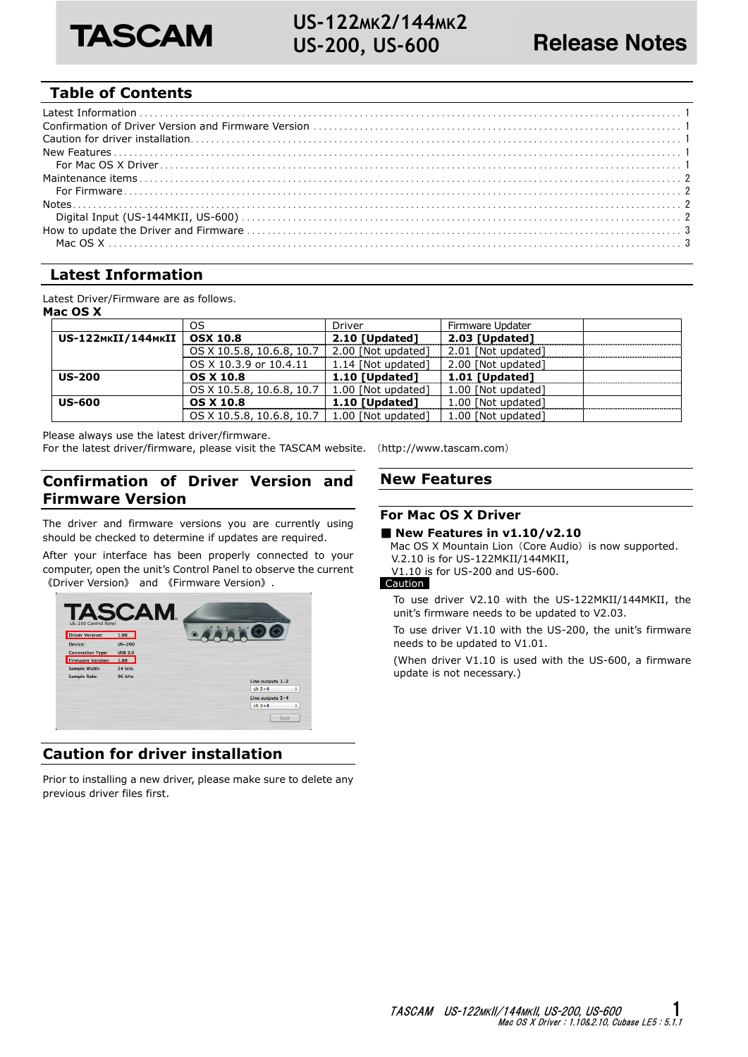

# **Table of Contents**

# **Latest Information**

Latest Driver/Firmware are as follows. **Mac OS X** 

|                    | OS                        | Driver             | Firmware Updater   |  |  |  |  |
|--------------------|---------------------------|--------------------|--------------------|--|--|--|--|
| US-122MKII/144MKII | <b>OSX 10.8</b>           | 2.10 [Updated]     | 2.03 [Updated]     |  |  |  |  |
|                    | OS X 10.5.8, 10.6.8, 10.7 | 2.00 [Not updated] | 2.01 [Not updated] |  |  |  |  |
|                    | OS X 10.3.9 or 10.4.11    | 1.14 [Not updated] | 2.00 [Not updated] |  |  |  |  |
| <b>US-200</b>      | <b>OS X 10.8</b>          | 1.10 [Updated]     | 1.01 [Updated]     |  |  |  |  |
|                    | OS X 10.5.8, 10.6.8, 10.7 | 1.00 [Not updated] | 1.00 [Not updated] |  |  |  |  |
| <b>US-600</b>      | <b>OS X 10.8</b>          | 1.10 [Updated]     | 1.00 [Not updated] |  |  |  |  |
|                    | OS X 10.5.8, 10.6.8, 10.7 | 1.00 [Not updated] | 1.00 [Not updated] |  |  |  |  |

Please always use the latest driver/firmware.

For the latest driver/firmware, please visit the TASCAM website. (http://www.tascam.com)

# **Confirmation of Driver Version and Firmware Version**

The driver and firmware versions you are currently using should be checked to determine if updates are required.

After your interface has been properly connected to your computer, open the unit's Control Panel to observe the current 《Driver Version》 and 《Firmware Version》.



# **Caution for driver installation**

Prior to installing a new driver, please make sure to delete any previous driver files first.

## **New Features**

# **For Mac OS X Driver**

## ■ New Features in v1.10/v2.10

Mac OS X Mountain Lion (Core Audio) is now supported. V.2.10 is for US-122MKII/144MKII, V1.10 is for US-200 and US-600.

## Caution

To use driver V2.10 with the US-122MKII/144MKII, the unit's firmware needs to be updated to V2.03.

To use driver V1.10 with the US-200, the unit's firmware needs to be updated to V1.01.

(When driver V1.10 is used with the US-600, a firmware update is not necessary.)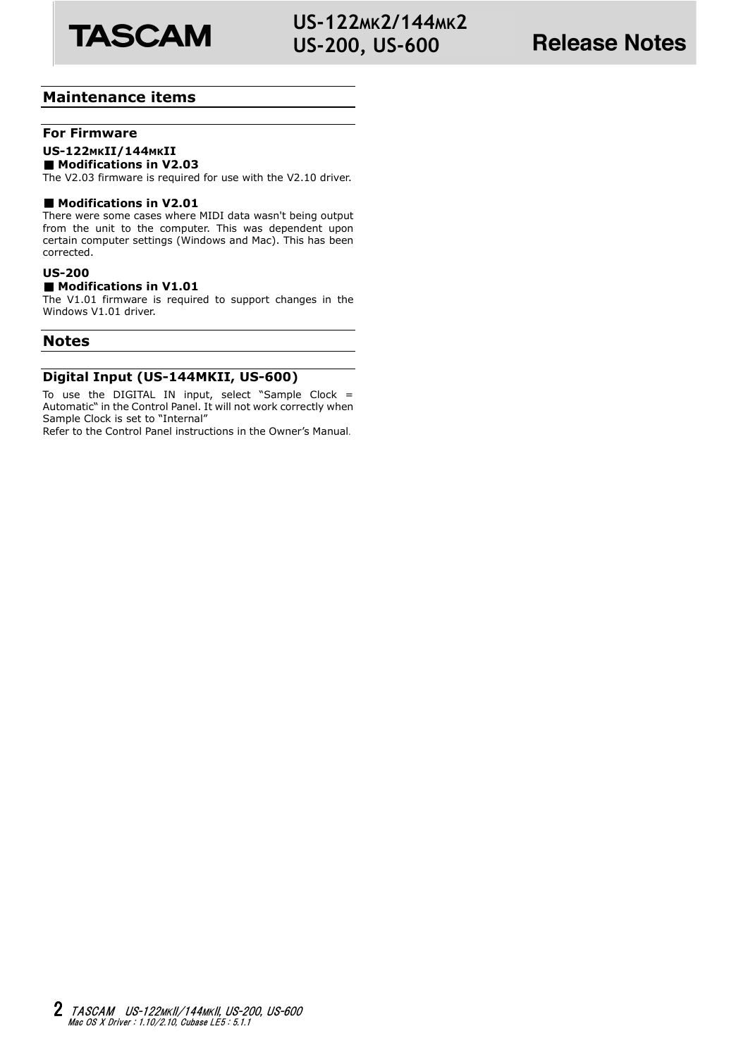

# **US-122MK2/144MK2 US-200, US-600**

# **Maintenance items**

# **For Firmware**

# **US-122MKII/144MKII**

■ Modifications in V2.03

The V2.03 firmware is required for use with the V2.10 driver.

### ■ Modifications in V2.01

There were some cases where MIDI data wasn't being output from the unit to the computer. This was dependent upon certain computer settings (Windows and Mac). This has been corrected.

## **US-200**

### ■ Modifications in V1.01

The V1.01 firmware is required to support changes in the Windows V1.01 driver.

## **Notes**

## **Digital Input (US-144MKII, US-600)**

To use the DIGITAL IN input, select "Sample Clock  $=$ Automatic" in the Control Panel. It will not work correctly when Sample Clock is set to "Internal"

Refer to the Control Panel instructions in the Owner's Manual.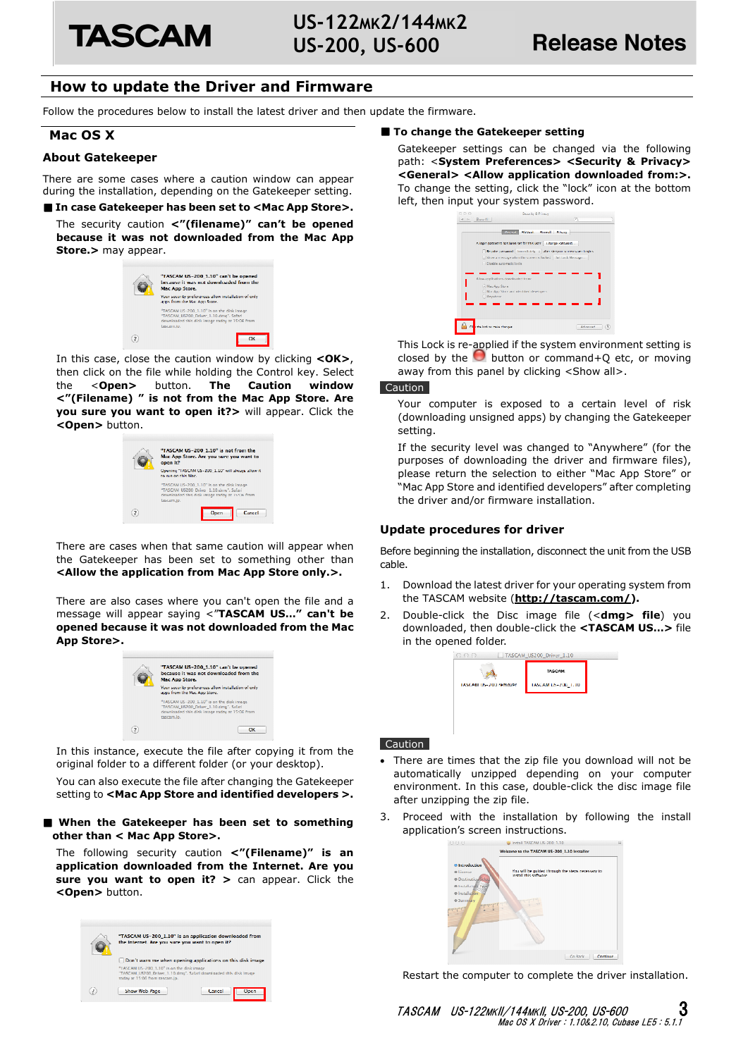

# **How to update the Driver and Firmware**

Follow the procedures below to install the latest driver and then update the firmware.

## **Mac OS X**

#### **About Gatekeeper**

There are some cases where a caution window can appear during the installation, depending on the Gatekeeper setting.

#### ■ In case Gatekeeper has been set to <Mac App Store>.

The security caution **<"(filename)" can't be opened because it was not downloaded from the Mac App Store.>** may appear.



In this case, close the caution window by clicking **<OK>**, then click on the file while holding the Control key. Select the <**Open>** button. **The Caution window <"(Filename) " is not from the Mac App Store. Are you sure you want to open it?>** will appear. Click the **<Open>** button.



There are cases when that same caution will appear when the Gatekeeper has been set to something other than **<Allow the application from Mac App Store only.>.** 

There are also cases where you can't open the file and a message will appear saying <"**TASCAM US…" can't be opened because it was not downloaded from the Mac App Store>.** 



In this instance, execute the file after copying it from the original folder to a different folder (or your desktop).

You can also execute the file after changing the Gatekeeper setting to **<Mac App Store and identified developers >.**

#### ■ When the Gatekeeper has been set to something **other than < Mac App Store>.**

The following security caution **<"(Filename)" is an application downloaded from the Internet. Are you sure you want to open it? >** can appear. Click the **<Open>** button.



#### ■ **To change the Gatekeeper setting**

Gatekeeper settings can be changed via the following path: <**System Preferences> <Security & Privacy> <General> <Allow application downloaded from:>.**  To change the setting, click the "lock" icon at the bottom left, then input your system password.

| e a a | Security & Privacy                                                        |
|-------|---------------------------------------------------------------------------|
| $-1$  | $\alpha$<br>Show All                                                      |
|       | <b>FilsWealt Firewall Privacy</b><br>General 1                            |
|       |                                                                           |
|       | A login password has been set for this user   Lhange Password             |
|       | [ Reculte password   Immediately   c   after sleep or screen squee begins |
|       | Show a message when the screen is locked   Set Lock Message               |
|       | Disable automatic locin                                                   |
|       | Allow applications downloaded from:                                       |
|       | (-) Mac App Store                                                         |
|       | Mac App Store and Identified developers                                   |
|       | C Anywhere                                                                |
|       |                                                                           |
|       |                                                                           |
|       |                                                                           |
|       | the lock to make changes<br>Advanced                                      |
| rи    |                                                                           |

This Lock is re-applied if the system environment setting is closed by the  $\bullet$  button or command+Q etc, or moving away from this panel by clicking <Show all>.

#### Caution

Your computer is exposed to a certain level of risk (downloading unsigned apps) by changing the Gatekeeper setting.

If the security level was changed to "Anywhere" (for the purposes of downloading the driver and firmware files), please return the selection to either "Mac App Store" or "Mac App Store and identified developers" after completing the driver and/or firmware installation.

#### **Update procedures for driver**

Before beginning the installation, disconnect the unit from the USB cable.

- 1. Download the latest driver for your operating system from the TASCAM website (**http://tascam.com/).**
- 2. Double-click the Disc image file (<**dmg> file**) you downloaded, then double-click the **<TASCAM US…>** file in the opened folder.



#### Caution

- There are times that the zip file you download will not be automatically unzipped depending on your computer environment. In this case, double-click the disc image file after unzipping the zip file.
- 3. Proceed with the installation by following the install application's screen instructions.

| 00                                                                                      | Install TASCAM US-200 1.10                                                  | ۵        |
|-----------------------------------------------------------------------------------------|-----------------------------------------------------------------------------|----------|
|                                                                                         | Welcome to the TASCAM US-200 1.10 Installer                                 |          |
| <b>A</b> Introduction<br>@ License<br><b>O</b> Destination Selec<br>· Installation Type | You will be guided through the steps necessary to<br>install this software. |          |
| @ Installation<br><b>C</b> Summary<br>stufnals of all.<br>misulvaten                    |                                                                             |          |
|                                                                                         |                                                                             |          |
|                                                                                         | Go Back                                                                     | Continue |

Restart the computer to complete the driver installation.